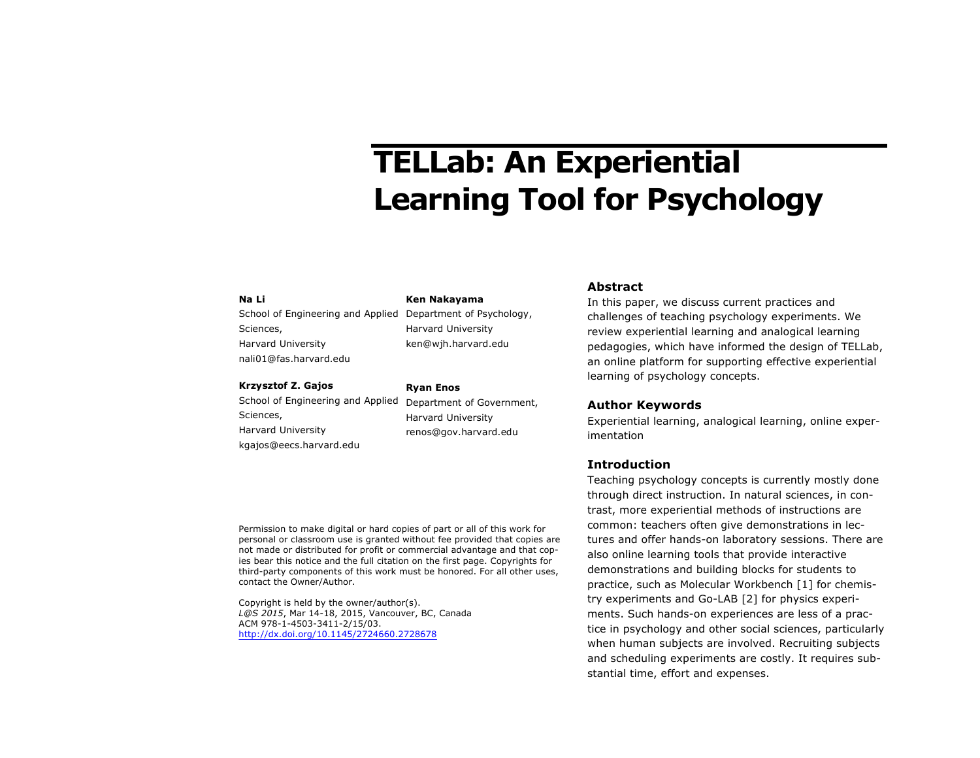# **TELLab: An Experiential Learning Tool for Psychology**

#### **Na Li**

#### **Ken Nakayama**

School of Engineering and Applied Department of Psychology, Sciences, Harvard University nali01@fas.harvard.edu

#### **Krzysztof Z. Gajos**

School of Engineering and Applied Department of Government, Sciences, Harvard University kgajos@eecs.harvard.edu

Harvard University ken@wjh.harvard.edu

#### **Ryan Enos**

Harvard University renos@gov.harvard.edu

## **Abstract**

In this paper, we discuss current practices and challenges of teaching psychology experiments. We review experiential learning and analogical learning pedagogies, which have informed the design of TELLab, an online platform for supporting effective experiential learning of psychology concepts.

#### **Author Keywords**

Experiential learning, analogical learning, online experimentation

### **Introduction**

Teaching psychology concepts is currently mostly done through direct instruction. In natural sciences, in contrast, more experiential methods of instructions are common: teachers often give demonstrations in lectures and offer hands-on laboratory sessions. There are also online learning tools that provide interactive demonstrations and building blocks for students to practice, such as Molecular Workbench [1] for chemistry experiments and Go-LAB [2] for physics experiments. Such hands-on experiences are less of a practice in psychology and other social sciences, particularly when human subjects are involved. Recruiting subjects and scheduling experiments are costly. It requires substantial time, effort and expenses.

Permission to make digital or hard copies of part or all of this work for personal or classroom use is granted without fee provided that copies are not made or distributed for profit or commercial advantage and that copies bear this notice and the full citation on the first page. Copyrights for third-party components of this work must be honored. For all other uses, contact the Owner/Author.

Copyright is held by the owner/author(s). *L@S 2015*, Mar 14-18, 2015, Vancouver, BC, Canada ACM 978-1-4503-3411-2/15/03. http://dx.doi.org/10.1145/2724660.2728678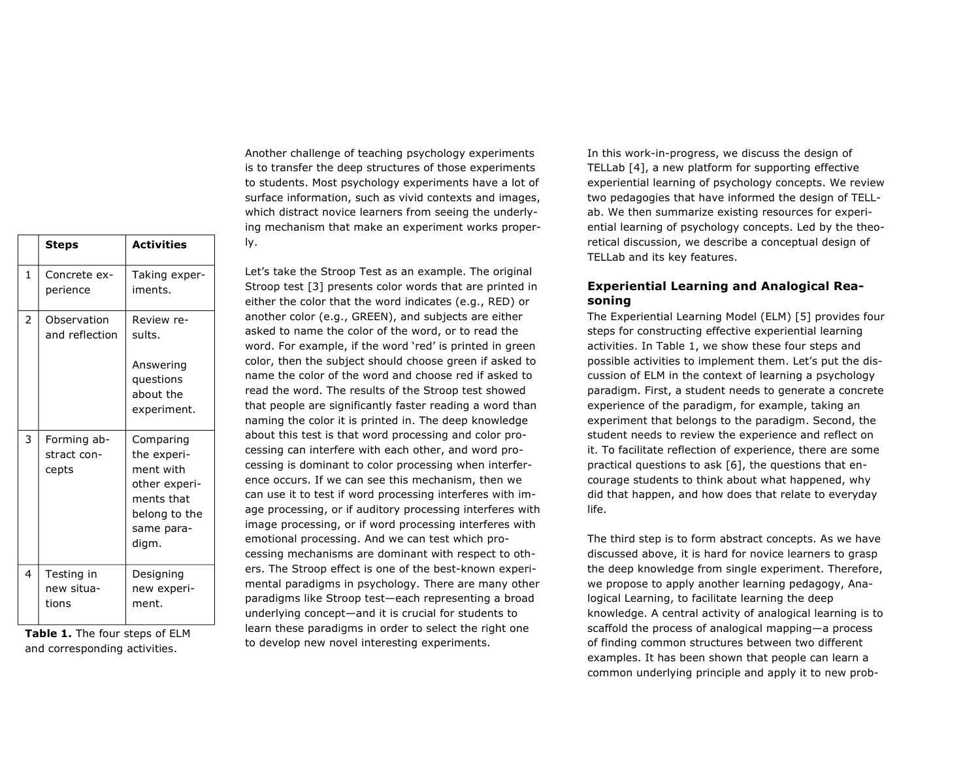|   | Steps                               | <b>Activities</b>                                                                                            |
|---|-------------------------------------|--------------------------------------------------------------------------------------------------------------|
| 1 | Concrete ex-<br>perience            | Taking exper-<br>iments.                                                                                     |
| 2 | Observation<br>and reflection       | Review re-<br>sults.<br>Answering<br>questions<br>about the<br>experiment.                                   |
| 3 | Forming ab-<br>stract con-<br>cepts | Comparing<br>the experi-<br>ment with<br>other experi-<br>ments that<br>belong to the<br>same para-<br>digm. |
| 4 | Testing in<br>new situa-<br>tions   | Designing<br>new experi-<br>ment.                                                                            |

**Table 1.** The four steps of ELM and corresponding activities.

Another challenge of teaching psychology experiments is to transfer the deep structures of those experiments to students. Most psychology experiments have a lot of surface information, such as vivid contexts and images, which distract novice learners from seeing the underlying mechanism that make an experiment works properly.

Let's take the Stroop Test as an example. The original Stroop test [3] presents color words that are printed in either the color that the word indicates (e.g., RED) or another color (e.g., GREEN), and subjects are either asked to name the color of the word, or to read the word. For example, if the word 'red' is printed in green color, then the subject should choose green if asked to name the color of the word and choose red if asked to read the word. The results of the Stroop test showed that people are significantly faster reading a word than naming the color it is printed in. The deep knowledge about this test is that word processing and color processing can interfere with each other, and word processing is dominant to color processing when interference occurs. If we can see this mechanism, then we can use it to test if word processing interferes with image processing, or if auditory processing interferes with image processing, or if word processing interferes with emotional processing. And we can test which processing mechanisms are dominant with respect to others. The Stroop effect is one of the best-known experimental paradigms in psychology. There are many other paradigms like Stroop test—each representing a broad underlying concept—and it is crucial for students to learn these paradigms in order to select the right one to develop new novel interesting experiments.

In this work-in-progress, we discuss the design of TELLab [4], a new platform for supporting effective experiential learning of psychology concepts. We review two pedagogies that have informed the design of TELLab. We then summarize existing resources for experiential learning of psychology concepts. Led by the theoretical discussion, we describe a conceptual design of TELLab and its key features.

# **Experiential Learning and Analogical Reasoning**

The Experiential Learning Model (ELM) [5] provides four steps for constructing effective experiential learning activities. In Table 1, we show these four steps and possible activities to implement them. Let's put the discussion of ELM in the context of learning a psychology paradigm. First, a student needs to generate a concrete experience of the paradigm, for example, taking an experiment that belongs to the paradigm. Second, the student needs to review the experience and reflect on it. To facilitate reflection of experience, there are some practical questions to ask [6], the questions that encourage students to think about what happened, why did that happen, and how does that relate to everyday life.

The third step is to form abstract concepts. As we have discussed above, it is hard for novice learners to grasp the deep knowledge from single experiment. Therefore, we propose to apply another learning pedagogy, Analogical Learning, to facilitate learning the deep knowledge. A central activity of analogical learning is to scaffold the process of analogical mapping—a process of finding common structures between two different examples. It has been shown that people can learn a common underlying principle and apply it to new prob-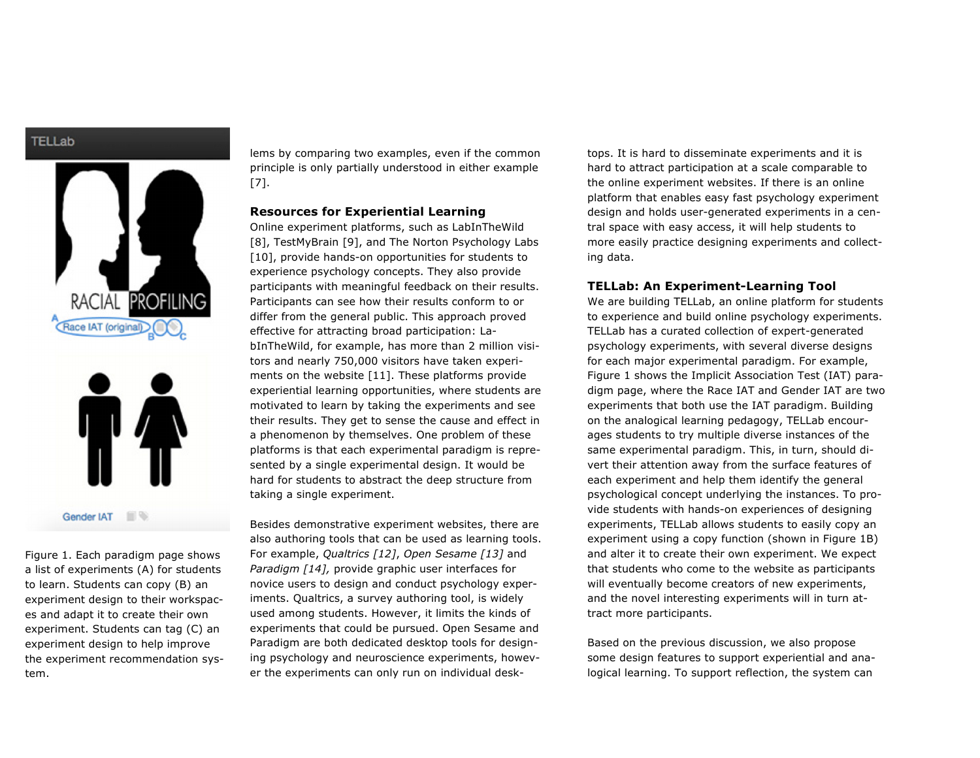# TELLab





Figure 1. Each paradigm page shows a list of experiments (A) for students to learn. Students can copy (B) an experiment design to their workspaces and adapt it to create their own experiment. Students can tag (C) an experiment design to help improve the experiment recommendation system.

lems by comparing two examples, even if the common principle is only partially understood in either example [7].

## **Resources for Experiential Learning**

Online experiment platforms, such as LabInTheWild [8], TestMyBrain [9], and The Norton Psychology Labs [10], provide hands-on opportunities for students to experience psychology concepts. They also provide participants with meaningful feedback on their results. Participants can see how their results conform to or differ from the general public. This approach proved effective for attracting broad participation: LabInTheWild, for example, has more than 2 million visitors and nearly 750,000 visitors have taken experiments on the website [11]. These platforms provide experiential learning opportunities, where students are motivated to learn by taking the experiments and see their results. They get to sense the cause and effect in a phenomenon by themselves. One problem of these platforms is that each experimental paradigm is represented by a single experimental design. It would be hard for students to abstract the deep structure from taking a single experiment.

Besides demonstrative experiment websites, there are also authoring tools that can be used as learning tools. For example, *Qualtrics [12]*, *Open Sesame [13]* and *Paradigm [14],* provide graphic user interfaces for novice users to design and conduct psychology experiments. Qualtrics, a survey authoring tool, is widely used among students. However, it limits the kinds of experiments that could be pursued. Open Sesame and Paradigm are both dedicated desktop tools for designing psychology and neuroscience experiments, however the experiments can only run on individual desktops. It is hard to disseminate experiments and it is hard to attract participation at a scale comparable to the online experiment websites. If there is an online platform that enables easy fast psychology experiment design and holds user-generated experiments in a central space with easy access, it will help students to more easily practice designing experiments and collecting data.

## **TELLab: An Experiment-Learning Tool**

We are building TELLab, an online platform for students to experience and build online psychology experiments. TELLab has a curated collection of expert-generated psychology experiments, with several diverse designs for each major experimental paradigm. For example, Figure 1 shows the Implicit Association Test (IAT) paradigm page, where the Race IAT and Gender IAT are two experiments that both use the IAT paradigm. Building on the analogical learning pedagogy, TELLab encourages students to try multiple diverse instances of the same experimental paradigm. This, in turn, should divert their attention away from the surface features of each experiment and help them identify the general psychological concept underlying the instances. To provide students with hands-on experiences of designing experiments, TELLab allows students to easily copy an experiment using a copy function (shown in Figure 1B) and alter it to create their own experiment. We expect that students who come to the website as participants will eventually become creators of new experiments, and the novel interesting experiments will in turn attract more participants.

Based on the previous discussion, we also propose some design features to support experiential and analogical learning. To support reflection, the system can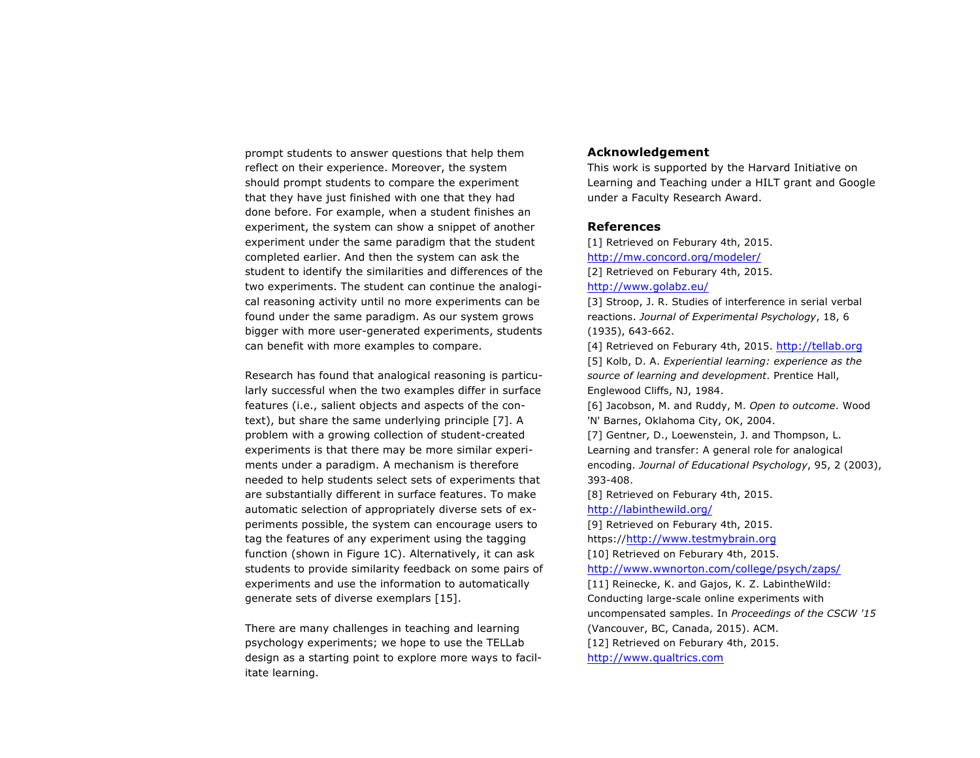prompt students to answer questions that help them reflect on their experience. Moreover, the system should prompt students to compare the experiment that they have just finished with one that they had done before. For example, when a student finishes an experiment, the system can show a snippet of another experiment under the same paradigm that the student completed earlier. And then the system can ask the student to identify the similarities and differences of the two experiments. The student can continue the analogical reasoning activity until no more experiments can be found under the same paradigm. As our system grows bigger with more user-generated experiments, students can benefit with more examples to compare.

Research has found that analogical reasoning is particularly successful when the two examples differ in surface features (i.e., salient objects and aspects of the context), but share the same underlying principle [7]. A problem with a growing collection of student-created experiments is that there may be more similar experiments under a paradigm. A mechanism is therefore needed to help students select sets of experiments that are substantially different in surface features. To make automatic selection of appropriately diverse sets of experiments possible, the system can encourage users to tag the features of any experiment using the tagging function (shown in Figure 1C). Alternatively, it can ask students to provide similarity feedback on some pairs of experiments and use the information to automatically generate sets of diverse exemplars [15].

There are many challenges in teaching and learning psychology experiments; we hope to use the TELLab design as a starting point to explore more ways to facilitate learning.

## **Acknowledgement**

This work is supported by the Harvard Initiative on Learning and Teaching under a HILT grant and Google under a Faculty Research Award.

#### **References**

[1] Retrieved on Feburary 4th, 2015. http://mw.concord.org/modeler/ [2] Retrieved on Feburary 4th, 2015. http://www.golabz.eu/ [3] Stroop, J. R. Studies of interference in serial verbal reactions. *Journal of Experimental Psychology*, 18, 6 (1935), 643-662. [4] Retrieved on Feburary 4th, 2015. http://tellab.org [5] Kolb, D. A. *Experiential learning: experience as the source of learning and development*. Prentice Hall, Englewood Cliffs, NJ, 1984. [6] Jacobson, M. and Ruddy, M. *Open to outcome*. Wood 'N' Barnes, Oklahoma City, OK, 2004. [7] Gentner, D., Loewenstein, J. and Thompson, L. Learning and transfer: A general role for analogical encoding. *Journal of Educational Psychology*, 95, 2 (2003), 393-408. [8] Retrieved on Feburary 4th, 2015. http://labinthewild.org/ [9] Retrieved on Feburary 4th, 2015. https://http://www.testmybrain.org [10] Retrieved on Feburary 4th, 2015. http://www.wwnorton.com/college/psych/zaps/ [11] Reinecke, K. and Gajos, K. Z. LabintheWild: Conducting large-scale online experiments with uncompensated samples. In *Proceedings of the CSCW '15* (Vancouver, BC, Canada, 2015). ACM. [12] Retrieved on Feburary 4th, 2015. http://www.qualtrics.com